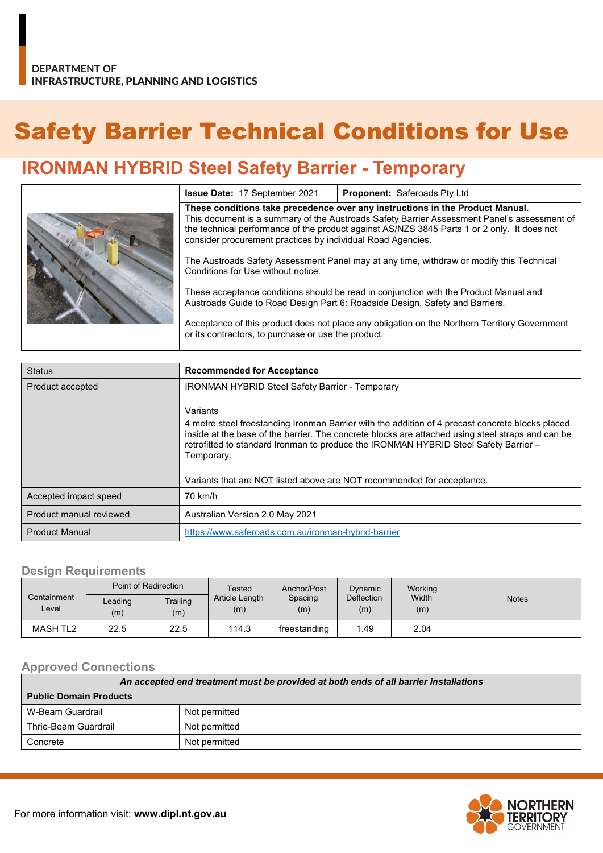# Safety Barrier Technical Conditions for Use

## **IRONMAN HYBRID Steel Safety Barrier - Temporary**

|  | <b>Issue Date: 17 September 2021</b>                                                                                                                                                                                                                                                                                                       | <b>Proponent: Saferoads Pty Ltd</b> |  |  |
|--|--------------------------------------------------------------------------------------------------------------------------------------------------------------------------------------------------------------------------------------------------------------------------------------------------------------------------------------------|-------------------------------------|--|--|
|  | These conditions take precedence over any instructions in the Product Manual.<br>This document is a summary of the Austroads Safety Barrier Assessment Panel's assessment of<br>the technical performance of the product against AS/NZS 3845 Parts 1 or 2 only. It does not<br>consider procurement practices by individual Road Agencies. |                                     |  |  |
|  | The Austroads Safety Assessment Panel may at any time, withdraw or modify this Technical<br>Conditions for Use without notice.                                                                                                                                                                                                             |                                     |  |  |
|  | These acceptance conditions should be read in conjunction with the Product Manual and<br>Austroads Guide to Road Design Part 6: Roadside Design, Safety and Barriers.                                                                                                                                                                      |                                     |  |  |
|  | Acceptance of this product does not place any obligation on the Northern Territory Government<br>or its contractors, to purchase or use the product.                                                                                                                                                                                       |                                     |  |  |

| <b>Status</b>           | <b>Recommended for Acceptance</b>                                                                                                                                                                                                                                                                                                                                                                 |  |  |
|-------------------------|---------------------------------------------------------------------------------------------------------------------------------------------------------------------------------------------------------------------------------------------------------------------------------------------------------------------------------------------------------------------------------------------------|--|--|
| Product accepted        | <b>IRONMAN HYBRID Steel Safety Barrier - Temporary</b>                                                                                                                                                                                                                                                                                                                                            |  |  |
|                         | Variants<br>4 metre steel freestanding Ironman Barrier with the addition of 4 precast concrete blocks placed<br>inside at the base of the barrier. The concrete blocks are attached using steel straps and can be<br>retrofitted to standard Ironman to produce the IRONMAN HYBRID Steel Safety Barrier -<br>Temporary.<br>Variants that are NOT listed above are NOT recommended for acceptance. |  |  |
| Accepted impact speed   | 70 km/h                                                                                                                                                                                                                                                                                                                                                                                           |  |  |
| Product manual reviewed | Australian Version 2.0 May 2021                                                                                                                                                                                                                                                                                                                                                                   |  |  |
| <b>Product Manual</b>   | https://www.saferoads.com.au/ironman-hybrid-barrier                                                                                                                                                                                                                                                                                                                                               |  |  |

#### **Design Requirements**

| Point of Redirection |                | Tested          | Anchor/Post           | Dynamic        | Working           |              |              |
|----------------------|----------------|-----------------|-----------------------|----------------|-------------------|--------------|--------------|
| Containment<br>Level | Leading<br>(m) | Trailing<br>(m) | Article Length<br>(m) | Spacing<br>(m) | Deflection<br>(m) | Width<br>(m) | <b>Notes</b> |
| MASH TL2             | 22.5           | 22.5            | 114.3                 | freestanding   | .49               | 2.04         |              |

#### **Approved Connections**

| An accepted end treatment must be provided at both ends of all barrier installations |               |  |  |
|--------------------------------------------------------------------------------------|---------------|--|--|
| <b>Public Domain Products</b>                                                        |               |  |  |
| W-Beam Guardrail                                                                     | Not permitted |  |  |
| Thrie-Beam Guardrail                                                                 | Not permitted |  |  |
| Concrete                                                                             | Not permitted |  |  |